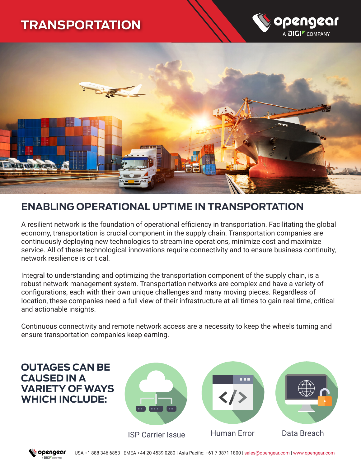# **TRANSPORTATION**





# **ENABLING OPERATIONAL UPTIME IN TRANSPORTATION**

A resilient network is the foundation of operational efficiency in transportation. Facilitating the global economy, transportation is crucial component in the supply chain. Transportation companies are continuously deploying new technologies to streamline operations, minimize cost and maximize service. All of these technological innovations require connectivity and to ensure business continuity, network resilience is critical.

Integral to understanding and optimizing the transportation component of the supply chain, is a robust network management system. Transportation networks are complex and have a variety of configurations, each with their own unique challenges and many moving pieces. Regardless of location, these companies need a full view of their infrastructure at all times to gain real time, critical and actionable insights.

Continuous connectivity and remote network access are a necessity to keep the wheels turning and ensure transportation companies keep earning.